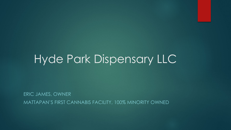# Hyde Park Dispensary LLC

ERIC JAMES, OWNER MATTAPAN'S FIRST CANNABIS FACILITY, 100% MINORITY OWNED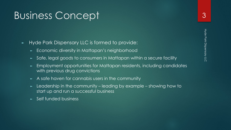#### Business Concept

- ► Hyde Park Dispensary LLC is formed to provide:
	- ► Economic diversity in Mattapan's neighborhood
	- ► Safe, legal goods to consumers in Mattapan within a secure facility
	- Employment opportunities for Mattapan residents, including candidates with previous drug convictions
	- A safe haven for cannabis users in the community
	- ► Leadership in the community leading by example showing how to start up and run a successful business
	- ► Self funded business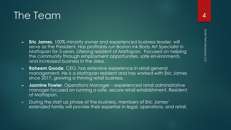### The Team

- ► **Eric James**, 100% minority owner and experienced business leader, will serve as the President. Has profitably run Boston Ink Body Art Specialist in Mattapan for 3 years. Lifelong resident of Mattapan. Focused on helping the community through employment opportunities, safe environments, and increased business in the area.
- ► **Raheem Goode**, CEO, has extensive experience in retail general management. He is a Mattapan resident and has worked with Eric James since 2017, growing a thriving retail business.
- ► **Jasmine Fowler**, Operations Manager experienced retail administrative manager focused on running a safe, secure retail establishment. Resident of Mattapan.
- ► During the start up phase of the business, members of Eric James' extended family will provide their expertise in legal, operations, and retail.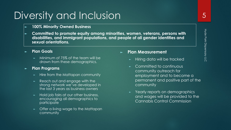### Diversity and Inclusion

- ► **100% Minority Owned Business**
- ► **Committed to promote equity among minorities, women, veterans, persons with disabilities, and immigrant populations, and people of all gender identities and sexual orientations.**
- ► **Plan Goals**
	- Minimum of 75% of the team will be drawn from these demographics.
- ► **Plan Programs** 
	- ► Hire from the Mattapan community
	- Reach out and engage with the strong network we've developed in the last 3 years as business owners
	- Hold job fairs at our other business, encouraging all demographics to participate
	- Offer a living wage to the Mattapan community

#### ► **Plan Measurement**

- Hiring data will be tracked
- Committed to continuous community outreach for employment and to become a permanent and positive part of the community
- Yearly reports on demographics and wages will be provided to the Cannabis Control Commission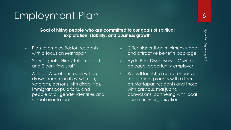### Employment Plan

**Goal of hiring people who are committed to our goals of spiritual exploration, stability, and business growth** 

- Plan to employ Boston residents with a focus on Mattapan
- Year 1 goals: Hire 2 full-time staff and 2 part-time staff
- At least 75% of our team will be drawn from minorities, women, veterans, persons with disabilities, immigrant populations, and people of all gender identities and sexual orientations
- Offer higher than minimum wage and attractive benefits package
- Hyde Park Dispensary LLC will be an equal opportunity employer
- ► We will launch a comprehensive recruitment process with a focus on Mattapan residents and those with previous marijuana convictions, partnering with local community organizations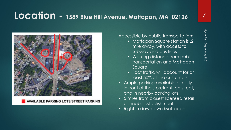## **Location - 1589 Blue Hill Avenue, Mattapan, MA 02126**



**AVAILABLE PARKING LOTS/STREET PARKING** 

#### Accessible by public transportation:

- Mattapan Square station is .2 mile away, with access to subway and bus lines
- Walking distance from public transportation and Mattapan Square
- Foot traffic will account for at least 50% of the customers
- Ample parking available directly in front of the storefront, on street, and in nearby parking lots
- 5 miles from closest licensed retail cannabis establishment
- Right in downtown Mattapan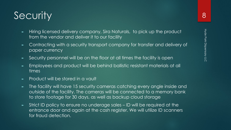## **Security**

- ► Hiring licensed delivery company, Sira Naturals, to pick up the product from the vendor and deliver it to our facility
- ► Contracting with a security transport company for transfer and delivery of paper currency
- ► Security personnel will be on the floor at all times the facility is open
- ► Employees and product will be behind ballistic resistant materials at all times
- ► Product will be stored in a vault
- The facility will have 15 security cameras catching every angle inside and outside of the facility. The cameras will be connected to a memory bank to store footage for 30 days, as well as backup cloud storage
- ► Strict ID policy to ensure no underage sales ID will be required at the entrance door and again at the cash register. We will utilize ID scanners for fraud detection.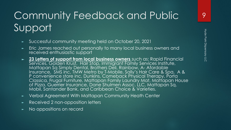# Community Feedback and Public Support

- ► Successful community meeting held on October 20, 2021
- Eric James reached out personally to many local business owners and received enthusiastic support
- ► **23 Letters of support from local business owners** such as: Rapid Financial Services, Golden Krust, Hair Stop, Immigrant Family Services Institute, Mattapan Sq Simply Dental, Brothers Deli, Rainbow, A- Afordable Insurance, SMS inc, TMW Metro by T-Mobile, Sally's Hair Care & Spa, A & P convenience store inc, Dunkins, Comeback Physical Therapy, Porta Classica, Frugal Furniture, Mattapan Family Laundry Mat, Mattapan House of Pizza, Guerrier Insurance, Dane Shulmen Assoc. LLC, Mattapan Sq. Mobil, Santander Bank, and Caribbean Choice & Varieties.
- ► Verbal Agreement With Mattapan Community Heath Center
- Received 2 non-opposition letters
- No oppositions on record